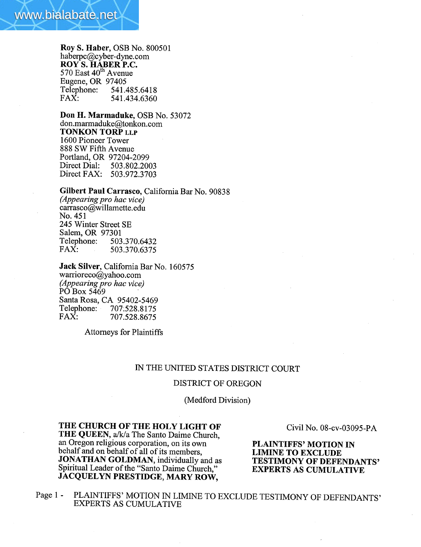Roy S. Haber, OSB No. 800501 haberpc@cyber-dyne.com ROY S. HABER P.C. 570 East  $40^{\text{th}}$  Avenue Eugene, OR 97405<br>Telephone: 541. Telephone: 541.485.6418<br>FAX: 541.434.6360 541.434.6360

Don H. Marmaduke, OSB No. 53072 don.marmaduke@tonkon.com TONKON TORP LLP 1600 Pioneer Tower 888 SW Fifth Avenue Portland, OR 97204-2099<br>Direct Dial: 503.802.2003 Direct Dial: Direct FAX: 503.972.3703

Gilbert Paul Carrasco, California Bar No. 90838 (Appearing pro hac vice) carrasco@willamette.edu No. 451 245 Winter Street SE Salem, OR 97301 Telephone: 503.370.6432<br>FAX: 503.370.6375 FAX: 503.370.6375

Jack Silver, California Bar No. 160575 warrioreco@yahoo.com (Appearing pro hac vice) PO Box 5469 Santa Rosa, CA 95402-5469<br>Telephone: 707.528.8175 Telephone: 707.528.8175<br>FAX: 707.528.8675 FAX: 707.528.8675

Attorneys for Plaintiffs

## IN THE UNITED STATES DISTRICT COURT

#### DISTRICT OF OREGON

(Medford Division)

## THE CHURCH OF THE HOLY LIGHT OF THE QUEEN, a/k/a The Santo Daime Church, an Oregon religious corporation, on its own behalf and on behalf of all of its members, JONATHAN GOLDMAN, individually and as Spiritual Leader of the "Santo Daime Church." JACQUELYN PRESTIDGE, MARY ROW,

Civil No. 08-cv-03095-PA

PLAINTIFFS' MOTION IN LIMINE TO EXCLUDE TESTIMONY OF DEFENDANTS' EXPERTS AS CUMULATIVE

Page 1 - PLAINTIFFS' MOTION IN LIMINE TO EXCLUDE TESTIMONY OF DEFENDANTS' EXPERTS AS CUMULATIVE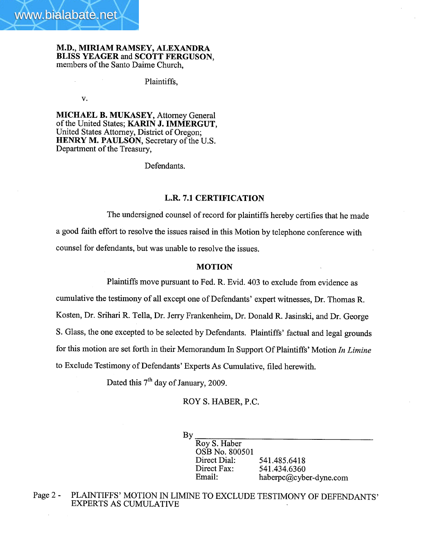

M.D., MIRIAM RAMSEY, ALEXADRA BLISS YEAGER and SCOTT FERGUSON, members of the Santo Daime Church,

Plaintiffs,

v.

MICHAEL B. MUKASEY, Attorney General of the United States; KARIN J. IMMERGUT, United States Attorney, District of Oregon; HENRY M. PAULSON, Secretary of the U.S. Department of the Treasury,

Defendants.

## L.R. 7.1 CERTIFICATION

The undersigned counsel of record for plaintiffs hereby certifies that he made a good faith effort to resolve the issues raised in this Motion by telephone conference with counsel for defendants, but was unable to resolve the issues.

#### MOTION

Plaintiffs move pursuant to Fed. R. Evid. 403 to exclude from evidence as

cumulative the testimony of all except one of Defendants' expert witnesses, Dr. Thomas R. Kosten, Dr. Srihari R. Tella, Dr. Jerry Frankenheim, Dr. Donald R. Jasinski, and Dr. George S. Glass, the one excepted to be selected by Defendants. Plaintiffs' factual and legal grounds for this motion are set forth in their Memorandum In Support Of Plaintiffs' Motion In Limine to Exclude Testimony of Defendants' Experts As Cumulative, fied herewith.

Dated this  $7<sup>th</sup>$  day of January, 2009.

ROY S. HABER, P.C.

By

Roy S. Haber OSB No. 800501 Direct Dial: Direct Fax: Email:

541.485.6418 541.434.6360 haberpc@cyber-dyne.com

Page 2 - PLAINTIFFS' MOTION IN LIMINE TO EXCLUDE TESTIMONY OF DEFENDANTS' EXPERTS AS CUMULATIVE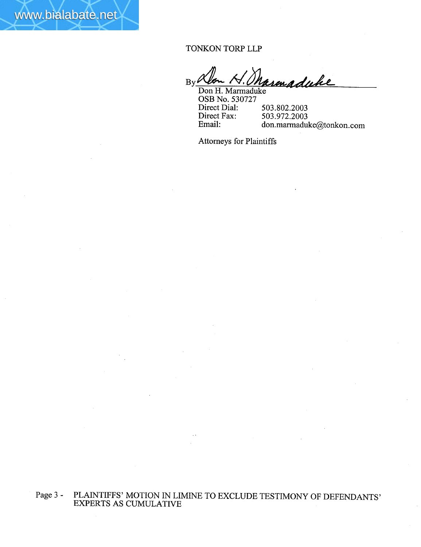TONKON TORP LLP

www.bialabate.net

By Wen N. Marmaduke Don H. Marmaduke

OSB No. 530727 Direct Dial: Direct Fax: Email: 503.802.2003 503.972.2003 don.marmaduke@tonkon.com

Attorneys for Plaintiffs

# Page 3 - PLAINTIFFS' MOTION IN LIMINE TO EXCLUDE TESTIMONY OF DEFENDANTS' EXPERTS AS CUMULATIVE